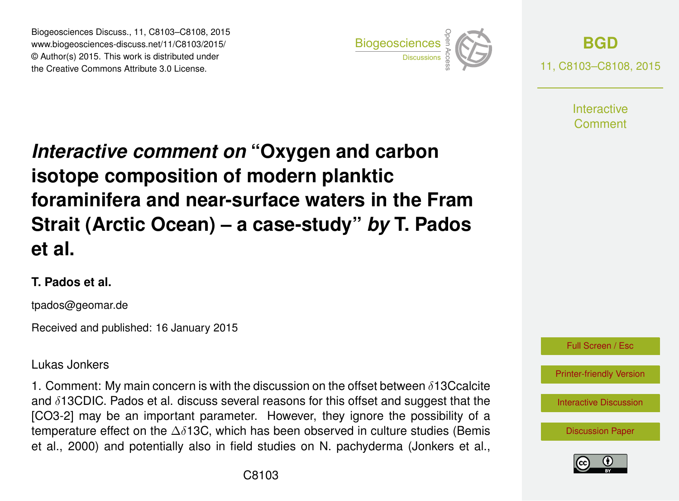Biogeosciences Discuss., 11, C8103–C8108, 2015 www.biogeosciences-discuss.net/11/C8103/2015/ © Author(s) 2015. This work is distributed under Biogeosciences Discuss., 11, C8103–C8108, 2015<br>
www.biogeosciences-discuss.net/11/C8103/2015/<br>
© Author(s) 2015. This work is distributed under<br>
the Creative Commons Attribute 3.0 License.



**[BGD](http://www.biogeosciences-discuss.net)** 11, C8103–C8108, 2015

> **Interactive** Comment

# *Interactive comment on* **"Oxygen and carbon isotope composition of modern planktic foraminifera and near-surface waters in the Fram Strait (Arctic Ocean) – a case-study"** *by* **T. Pados et al.**

#### **T. Pados et al.**

tpados@geomar.de

Received and published: 16 January 2015

#### Lukas Jonkers

1. Comment: My main concern is with the discussion on the offset between  $\delta$ 13Ccalcite and  $\delta$ 13CDIC. Pados et al. discuss several reasons for this offset and suggest that the [CO3-2] may be an important parameter. However, they ignore the possibility of a temperature effect on the  $\Delta\delta$ 13C, which has been observed in culture studies (Bemis et al., 2000) and potentially also in field studies on N. pachyderma (Jonkers et al.,



[Printer-friendly Version](http://www.biogeosciences-discuss.net/11/C8103/2015/bgd-11-C8103-2015-print.pdf)

[Interactive Discussion](http://www.biogeosciences-discuss.net/11/8635/2014/bgd-11-8635-2014-discussion.html)

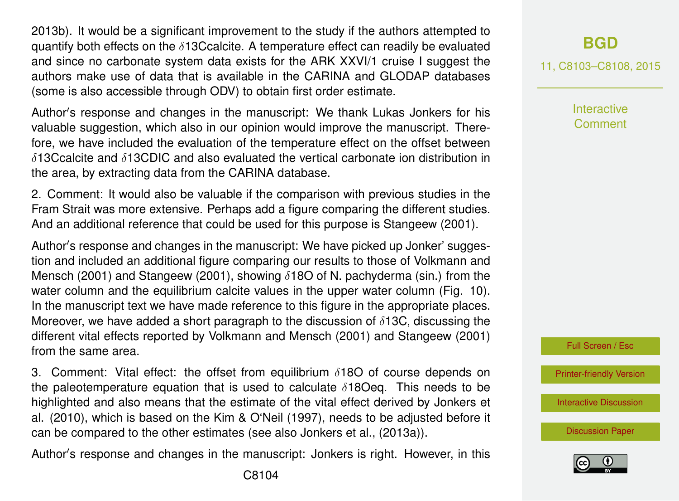2013b). It would be a significant improvement to the study if the authors attempted to quantify both effects on the  $\delta$ 13Ccalcite. A temperature effect can readily be evaluated and since no carbonate system data exists for the ARK XXVI/1 cruise I suggest the authors make use of data that is available in the CARINA and GLODAP databases (some is also accessible through ODV) to obtain first order estimate.

Author's response and changes in the manuscript: We thank Lukas Jonkers for his valuable suggestion, which also in our opinion would improve the manuscript. Therefore, we have included the evaluation of the temperature effect on the offset between  $\delta$ 13Ccalcite and  $\delta$ 13CDIC and also evaluated the vertical carbonate ion distribution in the area, by extracting data from the CARINA database.

2. Comment: It would also be valuable if the comparison with previous studies in the Fram Strait was more extensive. Perhaps add a figure comparing the different studies. And an additional reference that could be used for this purpose is Stangeew (2001).

Author's response and changes in the manuscript: We have picked up Jonker' suggestion and included an additional figure comparing our results to those of Volkmann and Mensch (2001) and Stangeew (2001), showing  $\delta$ 18O of N. pachyderma (sin.) from the water column and the equilibrium calcite values in the upper water column (Fig. 10). In the manuscript text we have made reference to this figure in the appropriate places. Moreover, we have added a short paragraph to the discussion of  $\delta$ 13C, discussing the different vital effects reported by Volkmann and Mensch (2001) and Stangeew (2001) from the same area.

3. Comment: Vital effect: the offset from equilibrium  $\delta$ 180 of course depends on the paleotemperature equation that is used to calculate  $\delta$ 18Oeg. This needs to be highlighted and also means that the estimate of the vital effect derived by Jonkers et al. (2010), which is based on the Kim & O'Neil (1997), needs to be adjusted before it can be compared to the other estimates (see also Jonkers et al., (2013a)).

Author's response and changes in the manuscript: Jonkers is right. However, in this

11, C8103–C8108, 2015

**Interactive Comment** 



[Printer-friendly Version](http://www.biogeosciences-discuss.net/11/C8103/2015/bgd-11-C8103-2015-print.pdf)

[Interactive Discussion](http://www.biogeosciences-discuss.net/11/8635/2014/bgd-11-8635-2014-discussion.html)

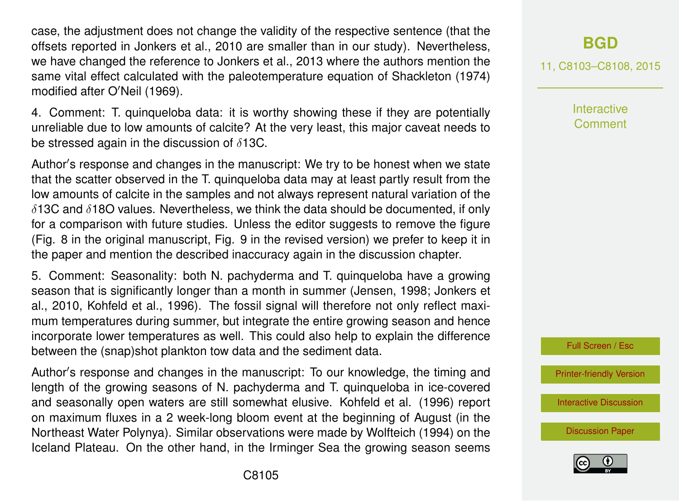case, the adjustment does not change the validity of the respective sentence (that the offsets reported in Jonkers et al., 2010 are smaller than in our study). Nevertheless, we have changed the reference to Jonkers et al., 2013 where the authors mention the same vital effect calculated with the paleotemperature equation of Shackleton (1974) modified after O'Neil (1969).

4. Comment: T. quinqueloba data: it is worthy showing these if they are potentially unreliable due to low amounts of calcite? At the very least, this major caveat needs to be stressed again in the discussion of  $\delta$ 13C.

Author's response and changes in the manuscript: We try to be honest when we state that the scatter observed in the T. quinqueloba data may at least partly result from the low amounts of calcite in the samples and not always represent natural variation of the  $\delta$ 13C and  $\delta$ 18O values. Nevertheless, we think the data should be documented, if only for a comparison with future studies. Unless the editor suggests to remove the figure (Fig. 8 in the original manuscript, Fig. 9 in the revised version) we prefer to keep it in the paper and mention the described inaccuracy again in the discussion chapter.

5. Comment: Seasonality: both N. pachyderma and T. quinqueloba have a growing season that is significantly longer than a month in summer (Jensen, 1998; Jonkers et al., 2010, Kohfeld et al., 1996). The fossil signal will therefore not only reflect maximum temperatures during summer, but integrate the entire growing season and hence incorporate lower temperatures as well. This could also help to explain the difference between the (snap)shot plankton tow data and the sediment data.

Author's response and changes in the manuscript: To our knowledge, the timing and length of the growing seasons of N. pachyderma and T. quinqueloba in ice-covered and seasonally open waters are still somewhat elusive. Kohfeld et al. (1996) report on maximum fluxes in a 2 week-long bloom event at the beginning of August (in the Northeast Water Polynya). Similar observations were made by Wolfteich (1994) on the Iceland Plateau. On the other hand, in the Irminger Sea the growing season seems

## **[BGD](http://www.biogeosciences-discuss.net)**

11, C8103–C8108, 2015

**Interactive** Comment



[Printer-friendly Version](http://www.biogeosciences-discuss.net/11/C8103/2015/bgd-11-C8103-2015-print.pdf)

[Interactive Discussion](http://www.biogeosciences-discuss.net/11/8635/2014/bgd-11-8635-2014-discussion.html)

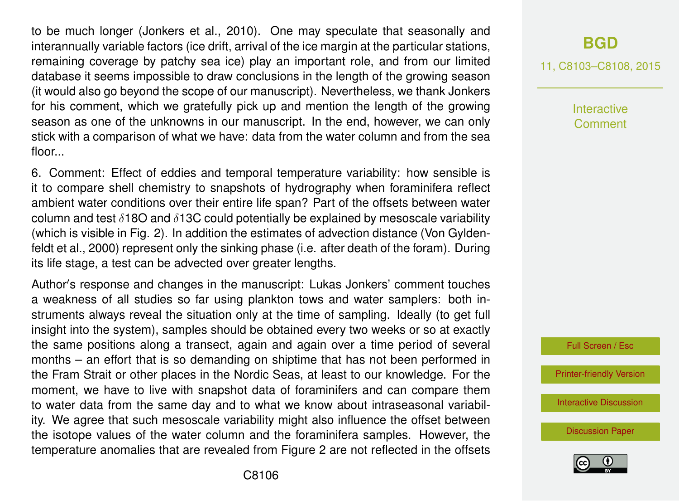to be much longer (Jonkers et al., 2010). One may speculate that seasonally and interannually variable factors (ice drift, arrival of the ice margin at the particular stations, remaining coverage by patchy sea ice) play an important role, and from our limited database it seems impossible to draw conclusions in the length of the growing season (it would also go beyond the scope of our manuscript). Nevertheless, we thank Jonkers for his comment, which we gratefully pick up and mention the length of the growing season as one of the unknowns in our manuscript. In the end, however, we can only stick with a comparison of what we have: data from the water column and from the sea floor.

6. Comment: Effect of eddies and temporal temperature variability: how sensible is it to compare shell chemistry to snapshots of hydrography when foraminifera reflect ambient water conditions over their entire life span? Part of the offsets between water column and test  $\delta$ 18O and  $\delta$ 13C could potentially be explained by mesoscale variability (which is visible in Fig. 2). In addition the estimates of advection distance (Von Gyldenfeldt et al., 2000) represent only the sinking phase (i.e. after death of the foram). During its life stage, a test can be advected over greater lengths.

Author's response and changes in the manuscript: Lukas Jonkers' comment touches a weakness of all studies so far using plankton tows and water samplers: both instruments always reveal the situation only at the time of sampling. Ideally (to get full insight into the system), samples should be obtained every two weeks or so at exactly the same positions along a transect, again and again over a time period of several months – an effort that is so demanding on shiptime that has not been performed in the Fram Strait or other places in the Nordic Seas, at least to our knowledge. For the moment, we have to live with snapshot data of foraminifers and can compare them to water data from the same day and to what we know about intraseasonal variability. We agree that such mesoscale variability might also influence the offset between the isotope values of the water column and the foraminifera samples. However, the temperature anomalies that are revealed from Figure 2 are not reflected in the offsets

#### **[BGD](http://www.biogeosciences-discuss.net)**

11, C8103–C8108, 2015

Interactive Comment

Full Screen / Esc

[Printer-friendly Version](http://www.biogeosciences-discuss.net/11/C8103/2015/bgd-11-C8103-2015-print.pdf)

[Interactive Discussion](http://www.biogeosciences-discuss.net/11/8635/2014/bgd-11-8635-2014-discussion.html)

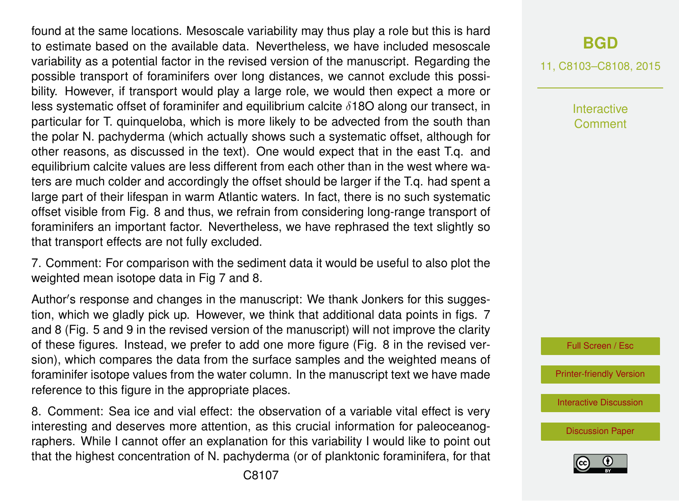found at the same locations. Mesoscale variability may thus play a role but this is hard to estimate based on the available data. Nevertheless, we have included mesoscale variability as a potential factor in the revised version of the manuscript. Regarding the possible transport of foraminifers over long distances, we cannot exclude this possibility. However, if transport would play a large role, we would then expect a more or less systematic offset of foraminifer and equilibrium calcite  $\delta$ 180 along our transect, in particular for T. quinqueloba, which is more likely to be advected from the south than the polar N. pachyderma (which actually shows such a systematic offset, although for other reasons, as discussed in the text). One would expect that in the east T.q. and equilibrium calcite values are less different from each other than in the west where waters are much colder and accordingly the offset should be larger if the T.q. had spent a large part of their lifespan in warm Atlantic waters. In fact, there is no such systematic offset visible from Fig. 8 and thus, we refrain from considering long-range transport of foraminifers an important factor. Nevertheless, we have rephrased the text slightly so that transport effects are not fully excluded.

7. Comment: For comparison with the sediment data it would be useful to also plot the weighted mean isotope data in Fig 7 and 8.

Author's response and changes in the manuscript: We thank Jonkers for this suggestion, which we gladly pick up. However, we think that additional data points in figs. 7 and 8 (Fig. 5 and 9 in the revised version of the manuscript) will not improve the clarity of these figures. Instead, we prefer to add one more figure (Fig. 8 in the revised version), which compares the data from the surface samples and the weighted means of foraminifer isotope values from the water column. In the manuscript text we have made reference to this figure in the appropriate places.

8. Comment: Sea ice and vial effect: the observation of a variable vital effect is very interesting and deserves more attention, as this crucial information for paleoceanographers. While I cannot offer an explanation for this variability I would like to point out that the highest concentration of N. pachyderma (or of planktonic foraminifera, for that 11, C8103–C8108, 2015

Interactive Comment

Full Screen / Esc

[Printer-friendly Version](http://www.biogeosciences-discuss.net/11/C8103/2015/bgd-11-C8103-2015-print.pdf)

[Interactive Discussion](http://www.biogeosciences-discuss.net/11/8635/2014/bgd-11-8635-2014-discussion.html)